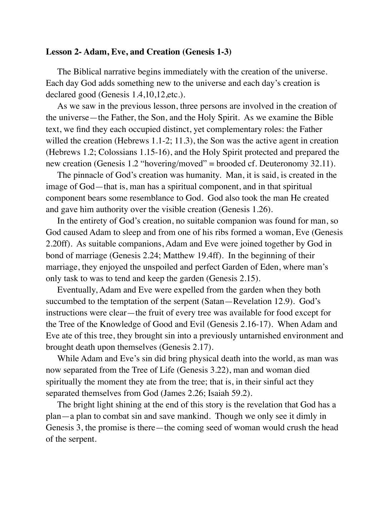## **Lesson 2- Adam, Eve, and Creation (Genesis 1-3)**

The Biblical narrative begins immediately with the creation of the universe. Each day God adds something new to the universe and each day's creation is declared good (Genesis 1.4,10,12,etc.).

As we saw in the previous lesson, three persons are involved in the creation of the universe—the Father, the Son, and the Holy Spirit. As we examine the Bible text, we find they each occupied distinct, yet complementary roles: the Father willed the creation (Hebrews 1.1-2; 11.3), the Son was the active agent in creation (Hebrews 1.2; Colossians 1.15-16), and the Holy Spirit protected and prepared the new creation (Genesis 1.2 "hovering/moved" = brooded cf. Deuteronomy 32.11).

The pinnacle of God's creation was humanity. Man, it is said, is created in the image of God—that is, man has a spiritual component, and in that spiritual component bears some resemblance to God. God also took the man He created and gave him authority over the visible creation (Genesis 1.26).

In the entirety of God's creation, no suitable companion was found for man, so God caused Adam to sleep and from one of his ribs formed a woman, Eve (Genesis 2.20ff). As suitable companions, Adam and Eve were joined together by God in bond of marriage (Genesis 2.24; Matthew 19.4ff). In the beginning of their marriage, they enjoyed the unspoiled and perfect Garden of Eden, where man's only task to was to tend and keep the garden (Genesis 2.15).

Eventually, Adam and Eve were expelled from the garden when they both succumbed to the temptation of the serpent (Satan—Revelation 12.9). God's instructions were clear—the fruit of every tree was available for food except for the Tree of the Knowledge of Good and Evil (Genesis 2.16-17). When Adam and Eve ate of this tree, they brought sin into a previously untarnished environment and brought death upon themselves (Genesis 2.17).

While Adam and Eve's sin did bring physical death into the world, as man was now separated from the Tree of Life (Genesis 3.22), man and woman died spiritually the moment they ate from the tree; that is, in their sinful act they separated themselves from God (James 2.26; Isaiah 59.2).

The bright light shining at the end of this story is the revelation that God has a plan—a plan to combat sin and save mankind. Though we only see it dimly in Genesis 3, the promise is there—the coming seed of woman would crush the head of the serpent.